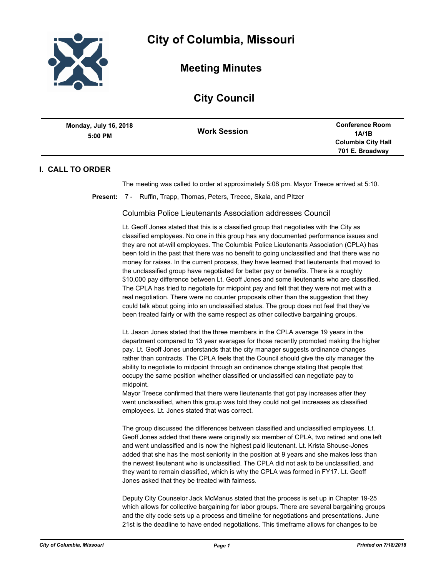

**Meeting Minutes**

# **City Council**

| Monday, July 16, 2018<br>$5:00$ PM | <b>Work Session</b> | <b>Conference Room</b><br>1A/1B |
|------------------------------------|---------------------|---------------------------------|
|                                    |                     | <b>Columbia City Hall</b>       |
|                                    |                     | 701 E. Broadway                 |

## **I. CALL TO ORDER**

The meeting was called to order at approximately 5:08 pm. Mayor Treece arrived at 5:10.

**Present:** 7 - Ruffin, Trapp, Thomas, Peters, Treece, Skala, and PItzer

Columbia Police Lieutenants Association addresses Council

Lt. Geoff Jones stated that this is a classified group that negotiates with the City as classified employees. No one in this group has any documented performance issues and they are not at-will employees. The Columbia Police Lieutenants Association (CPLA) has been told in the past that there was no benefit to going unclassified and that there was no money for raises. In the current process, they have learned that lieutenants that moved to the unclassified group have negotiated for better pay or benefits. There is a roughly \$10,000 pay difference between Lt. Geoff Jones and some lieutenants who are classified. The CPLA has tried to negotiate for midpoint pay and felt that they were not met with a real negotiation. There were no counter proposals other than the suggestion that they could talk about going into an unclassified status. The group does not feel that they've been treated fairly or with the same respect as other collective bargaining groups.

Lt. Jason Jones stated that the three members in the CPLA average 19 years in the department compared to 13 year averages for those recently promoted making the higher pay. Lt. Geoff Jones understands that the city manager suggests ordinance changes rather than contracts. The CPLA feels that the Council should give the city manager the ability to negotiate to midpoint through an ordinance change stating that people that occupy the same position whether classified or unclassified can negotiate pay to midpoint.

Mayor Treece confirmed that there were lieutenants that got pay increases after they went unclassified, when this group was told they could not get increases as classified employees. Lt. Jones stated that was correct.

The group discussed the differences between classified and unclassified employees. Lt. Geoff Jones added that there were originally six member of CPLA, two retired and one left and went unclassified and is now the highest paid lieutenant. Lt. Krista Shouse-Jones added that she has the most seniority in the position at 9 years and she makes less than the newest lieutenant who is unclassified. The CPLA did not ask to be unclassified, and they want to remain classified, which is why the CPLA was formed in FY17. Lt. Geoff Jones asked that they be treated with fairness.

Deputy City Counselor Jack McManus stated that the process is set up in Chapter 19-25 which allows for collective bargaining for labor groups. There are several bargaining groups and the city code sets up a process and timeline for negotiations and presentations. June 21st is the deadline to have ended negotiations. This timeframe allows for changes to be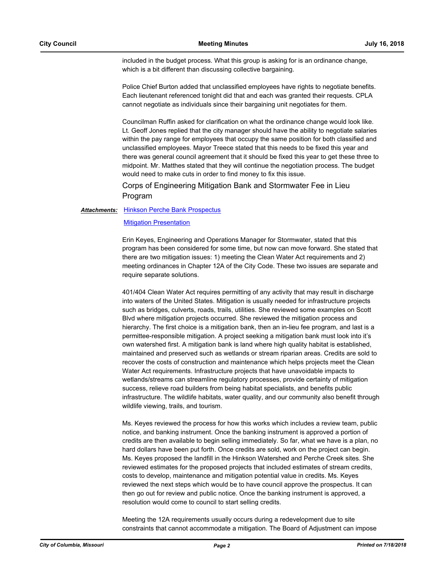included in the budget process. What this group is asking for is an ordinance change, which is a bit different than discussing collective bargaining.

Police Chief Burton added that unclassified employees have rights to negotiate benefits. Each lieutenant referenced tonight did that and each was granted their requests. CPLA cannot negotiate as individuals since their bargaining unit negotiates for them.

Councilman Ruffin asked for clarification on what the ordinance change would look like. Lt. Geoff Jones replied that the city manager should have the ability to negotiate salaries within the pay range for employees that occupy the same position for both classified and unclassified employees. Mayor Treece stated that this needs to be fixed this year and there was general council agreement that it should be fixed this year to get these three to midpoint. Mr. Matthes stated that they will continue the negotiation process. The budget would need to make cuts in order to find money to fix this issue.

Corps of Engineering Mitigation Bank and Stormwater Fee in Lieu Program

#### [Hinkson Perche Bank Prospectus](http://gocolumbiamo.legistar.com/gateway.aspx?M=F&ID=657687d8-8986-437d-94e4-a89f19a9bfda.pdf) *Attachments:*

### [Mitigation Presentation](http://gocolumbiamo.legistar.com/gateway.aspx?M=F&ID=e66c91dd-eefd-4e3b-b9ec-b416796a7539.pdf)

Erin Keyes, Engineering and Operations Manager for Stormwater, stated that this program has been considered for some time, but now can move forward. She stated that there are two mitigation issues: 1) meeting the Clean Water Act requirements and 2) meeting ordinances in Chapter 12A of the City Code. These two issues are separate and require separate solutions.

401/404 Clean Water Act requires permitting of any activity that may result in discharge into waters of the United States. Mitigation is usually needed for infrastructure projects such as bridges, culverts, roads, trails, utilities. She reviewed some examples on Scott Blvd where mitigation projects occurred. She reviewed the mitigation process and hierarchy. The first choice is a mitigation bank, then an in-lieu fee program, and last is a permittee-responsible mitigation. A project seeking a mitigation bank must look into it's own watershed first. A mitigation bank is land where high quality habitat is established, maintained and preserved such as wetlands or stream riparian areas. Credits are sold to recover the costs of construction and maintenance which helps projects meet the Clean Water Act requirements. Infrastructure projects that have unavoidable impacts to wetlands/streams can streamline regulatory processes, provide certainty of mitigation success, relieve road builders from being habitat specialists, and benefits public infrastructure. The wildlife habitats, water quality, and our community also benefit through wildlife viewing, trails, and tourism.

Ms. Keyes reviewed the process for how this works which includes a review team, public notice, and banking instrument. Once the banking instrument is approved a portion of credits are then available to begin selling immediately. So far, what we have is a plan, no hard dollars have been put forth. Once credits are sold, work on the project can begin. Ms. Keyes proposed the landfill in the Hinkson Watershed and Perche Creek sites. She reviewed estimates for the proposed projects that included estimates of stream credits, costs to develop, maintenance and mitigation potential value in credits. Ms. Keyes reviewed the next steps which would be to have council approve the prospectus. It can then go out for review and public notice. Once the banking instrument is approved, a resolution would come to council to start selling credits.

Meeting the 12A requirements usually occurs during a redevelopment due to site constraints that cannot accommodate a mitigation. The Board of Adjustment can impose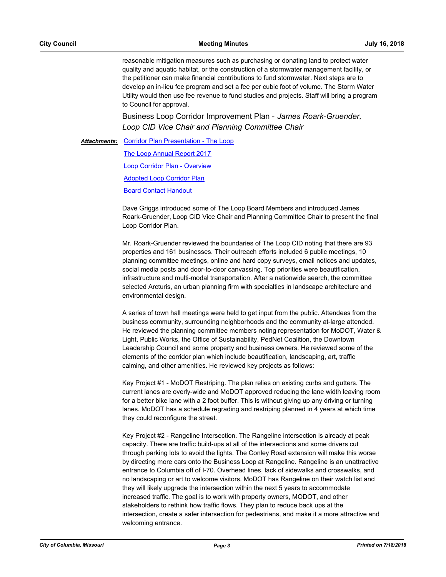reasonable mitigation measures such as purchasing or donating land to protect water quality and aquatic habitat, or the construction of a stormwater management facility, or the petitioner can make financial contributions to fund stormwater. Next steps are to develop an in-lieu fee program and set a fee per cubic foot of volume. The Storm Water Utility would then use fee revenue to fund studies and projects. Staff will bring a program to Council for approval.

Business Loop Corridor Improvement Plan - *James Roark-Gruender, Loop CID Vice Chair and Planning Committee Chair*

Attachments: [Corridor Plan Presentation - The Loop](http://gocolumbiamo.legistar.com/gateway.aspx?M=F&ID=3e393e12-392a-44a0-8268-fad74f1df64e.pdf)

[The Loop Annual Report 2017](http://gocolumbiamo.legistar.com/gateway.aspx?M=F&ID=68f54931-0d53-415f-bc46-0dd300d9e097.pdf)

[Loop Corridor Plan - Overview](http://gocolumbiamo.legistar.com/gateway.aspx?M=F&ID=460b3010-c9a8-486b-ba64-e48c745d0943.pdf)

[Adopted Loop Corridor Plan](http://gocolumbiamo.legistar.com/gateway.aspx?M=F&ID=25efe0d9-7157-46f2-80e6-3377c043d0d8.pdf)

[Board Contact Handout](http://gocolumbiamo.legistar.com/gateway.aspx?M=F&ID=8909a6ae-1904-450f-8a62-af3417859355.pdf)

Dave Griggs introduced some of The Loop Board Members and introduced James Roark-Gruender, Loop CID Vice Chair and Planning Committee Chair to present the final Loop Corridor Plan.

Mr. Roark-Gruender reviewed the boundaries of The Loop CID noting that there are 93 properties and 161 businesses. Their outreach efforts included 6 public meetings, 10 planning committee meetings, online and hard copy surveys, email notices and updates, social media posts and door-to-door canvassing. Top priorities were beautification, infrastructure and multi-modal transportation. After a nationwide search, the committee selected Arcturis, an urban planning firm with specialties in landscape architecture and environmental design.

A series of town hall meetings were held to get input from the public. Attendees from the business community, surrounding neighborhoods and the community at-large attended. He reviewed the planning committee members noting representation for MoDOT, Water & Light, Public Works, the Office of Sustainability, PedNet Coalition, the Downtown Leadership Council and some property and business owners. He reviewed some of the elements of the corridor plan which include beautification, landscaping, art, traffic calming, and other amenities. He reviewed key projects as follows:

Key Project #1 - MoDOT Restriping. The plan relies on existing curbs and gutters. The current lanes are overly-wide and MoDOT approved reducing the lane width leaving room for a better bike lane with a 2 foot buffer. This is without giving up any driving or turning lanes. MoDOT has a schedule regrading and restriping planned in 4 years at which time they could reconfigure the street.

Key Project #2 - Rangeline Intersection. The Rangeline intersection is already at peak capacity. There are traffic build-ups at all of the intersections and some drivers cut through parking lots to avoid the lights. The Conley Road extension will make this worse by directing more cars onto the Business Loop at Rangeline. Rangeline is an unattractive entrance to Columbia off of I-70. Overhead lines, lack of sidewalks and crosswalks, and no landscaping or art to welcome visitors. MoDOT has Rangeline on their watch list and they will likely upgrade the intersection within the next 5 years to accommodate increased traffic. The goal is to work with property owners, MODOT, and other stakeholders to rethink how traffic flows. They plan to reduce back ups at the intersection, create a safer intersection for pedestrians, and make it a more attractive and welcoming entrance.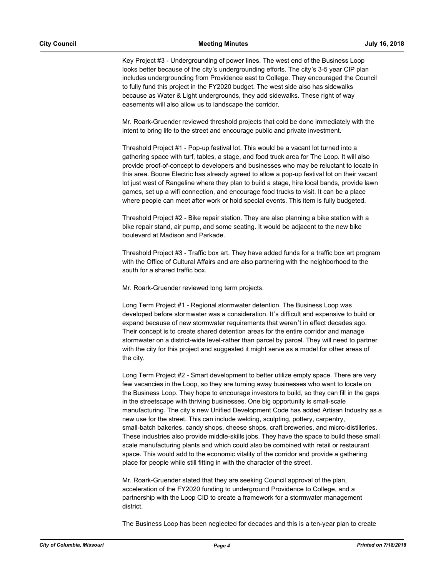Key Project #3 - Undergrounding of power lines. The west end of the Business Loop looks better because of the city's undergrounding efforts. The city's 3-5 year CIP plan includes undergrounding from Providence east to College. They encouraged the Council to fully fund this project in the FY2020 budget. The west side also has sidewalks because as Water & Light undergrounds, they add sidewalks. These right of way easements will also allow us to landscape the corridor.

Mr. Roark-Gruender reviewed threshold projects that cold be done immediately with the intent to bring life to the street and encourage public and private investment.

Threshold Project #1 - Pop-up festival lot. This would be a vacant lot turned into a gathering space with turf, tables, a stage, and food truck area for The Loop. It will also provide proof-of-concept to developers and businesses who may be reluctant to locate in this area. Boone Electric has already agreed to allow a pop-up festival lot on their vacant lot just west of Rangeline where they plan to build a stage, hire local bands, provide lawn games, set up a wifi connection, and encourage food trucks to visit. It can be a place where people can meet after work or hold special events. This item is fully budgeted.

Threshold Project #2 - Bike repair station. They are also planning a bike station with a bike repair stand, air pump, and some seating. It would be adjacent to the new bike boulevard at Madison and Parkade.

Threshold Project #3 - Traffic box art. They have added funds for a traffic box art program with the Office of Cultural Affairs and are also partnering with the neighborhood to the south for a shared traffic box.

Mr. Roark-Gruender reviewed long term projects.

Long Term Project #1 - Regional stormwater detention. The Business Loop was developed before stormwater was a consideration. It's difficult and expensive to build or expand because of new stormwater requirements that weren't in effect decades ago. Their concept is to create shared detention areas for the entire corridor and manage stormwater on a district-wide level-rather than parcel by parcel. They will need to partner with the city for this project and suggested it might serve as a model for other areas of the city.

Long Term Project #2 - Smart development to better utilize empty space. There are very few vacancies in the Loop, so they are turning away businesses who want to locate on the Business Loop. They hope to encourage investors to build, so they can fill in the gaps in the streetscape with thriving businesses. One big opportunity is small-scale manufacturing. The city's new Unified Development Code has added Artisan Industry as a new use for the street. This can include welding, sculpting, pottery, carpentry, small-batch bakeries, candy shops, cheese shops, craft breweries, and micro-distilleries. These industries also provide middle-skills jobs. They have the space to build these small scale manufacturing plants and which could also be combined with retail or restaurant space. This would add to the economic vitality of the corridor and provide a gathering place for people while still fitting in with the character of the street.

Mr. Roark-Gruender stated that they are seeking Council approval of the plan, acceleration of the FY2020 funding to underground Providence to College, and a partnership with the Loop CID to create a framework for a stormwater management district.

The Business Loop has been neglected for decades and this is a ten-year plan to create